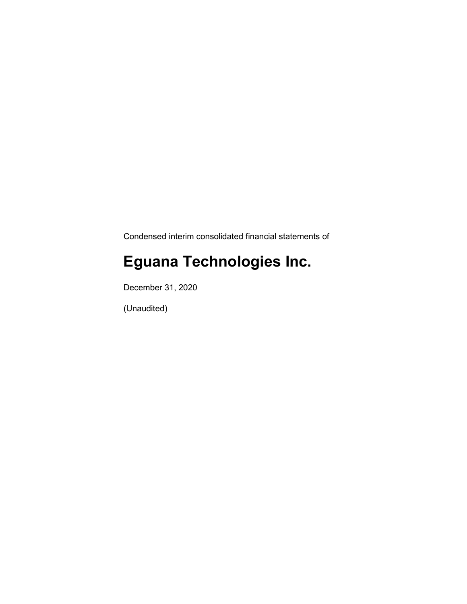Condensed interim consolidated financial statements of

# **Eguana Technologies Inc.**

December 31, 2020

(Unaudited)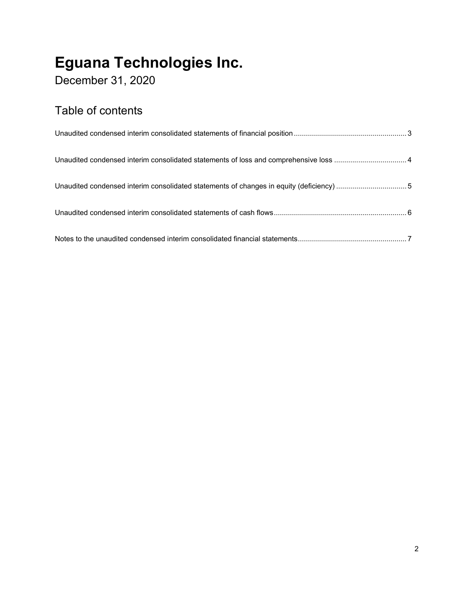December 31, 2020

### Table of contents

| Unaudited condensed interim consolidated statements of changes in equity (deficiency) 5 |  |
|-----------------------------------------------------------------------------------------|--|
|                                                                                         |  |
|                                                                                         |  |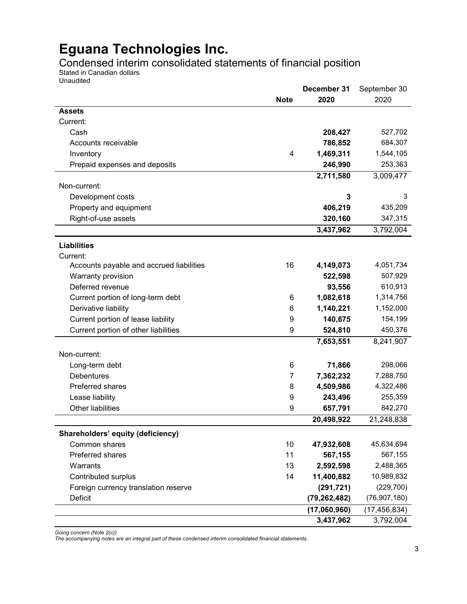Condensed interim consolidated statements of financial position

Stated in Canadian dollars Unaudited

|                                          |                | December 31    | September 30   |
|------------------------------------------|----------------|----------------|----------------|
|                                          | <b>Note</b>    | 2020           | 2020           |
| <b>Assets</b>                            |                |                |                |
| Current:                                 |                |                |                |
| Cash                                     |                | 208,427        | 527,702        |
| Accounts receivable                      |                | 786,852        | 684,307        |
| Inventory                                | $\overline{4}$ | 1,469,311      | 1,544,105      |
| Prepaid expenses and deposits            |                | 246,990        | 253,363        |
|                                          |                | 2,711,580      | 3,009,477      |
| Non-current:                             |                |                |                |
| Development costs                        |                | 3              | 3              |
| Property and equipment                   |                | 406,219        | 435,209        |
| Right-of-use assets                      |                | 320,160        | 347,315        |
|                                          |                | 3,437,962      | 3,792,004      |
| <b>Liabilities</b>                       |                |                |                |
| Current:                                 |                |                |                |
| Accounts payable and accrued liabilities | 16             | 4,149,073      | 4,051,734      |
| Warranty provision                       |                | 522,598        | 507,929        |
| Deferred revenue                         |                | 93,556         | 610,913        |
| Current portion of long-term debt        | 6              | 1,082,618      | 1,314,756      |
| Derivative liability                     | 6              | 1,140,221      | 1,152,000      |
| Current portion of lease liability       | 9              | 140,675        | 154,199        |
| Current portion of other liabilities     | 9              | 524,810        | 450,376        |
|                                          |                | 7,653,551      | 8,241,907      |
|                                          |                |                |                |
| Non-current:                             |                |                |                |
| Long-term debt                           | 6              | 71,866         | 298,066        |
| <b>Debentures</b>                        | 7              | 7,362,232      | 7,288,750      |
| Preferred shares                         | 8              | 4,509,986      | 4,322,486      |
| Lease liability                          | 9              | 243,496        | 255,359        |
| Other liabilities                        | 9              | 657,791        | 842,270        |
|                                          |                | 20,498,922     | 21,248,838     |
| Shareholders' equity (deficiency)        |                |                |                |
| Common shares                            | 10             | 47,932,608     | 45,634,694     |
| Preferred shares                         | 11             | 567,155        | 567,155        |
| Warrants                                 | 13             | 2,592,598      | 2,488,365      |
| Contributed surplus                      | 14             | 11,400,882     | 10,989,832     |
| Foreign currency translation reserve     |                | (291, 721)     | (229, 700)     |
| Deficit                                  |                | (79, 262, 482) | (76, 907, 180) |
|                                          |                | (17,060,960)   | (17, 456, 834) |
|                                          |                | 3,437,962      | 3,792,004      |

*Going concern (Note 2(c))*

*The accompanying notes are an integral part of these condensed interim consolidated financial statements.*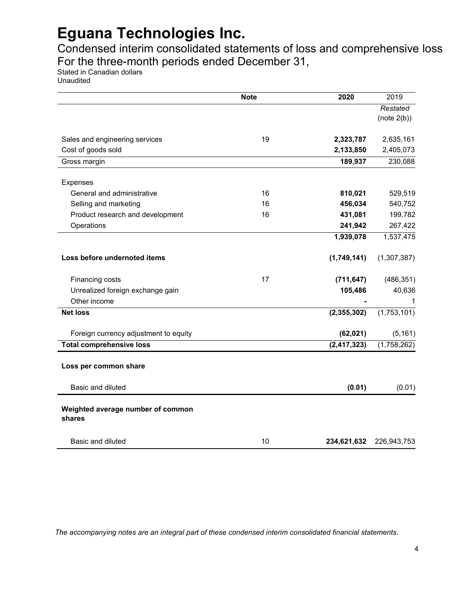Condensed interim consolidated statements of loss and comprehensive loss For the three-month periods ended December 31,

Stated in Canadian dollars

Unaudited

|                                             | <b>Note</b> | 2020          | 2019                    |
|---------------------------------------------|-------------|---------------|-------------------------|
|                                             |             |               | Restated<br>(note 2(b)) |
| Sales and engineering services              | 19          | 2,323,787     | 2,635,161               |
| Cost of goods sold                          |             | 2,133,850     | 2,405,073               |
| Gross margin                                |             | 189,937       | 230,088                 |
| Expenses                                    |             |               |                         |
| General and administrative                  | 16          | 810,021       | 529,519                 |
| Selling and marketing                       | 16          | 456,034       | 540,752                 |
| Product research and development            | 16          | 431,081       | 199,782                 |
| Operations                                  |             | 241,942       | 267,422                 |
|                                             |             | 1,939,078     | 1,537,475               |
| Loss before undernoted items                |             | (1,749,141)   | (1,307,387)             |
| Financing costs                             | 17          | (711, 647)    | (486, 351)              |
| Unrealized foreign exchange gain            |             | 105,486       | 40,636                  |
| Other income                                |             |               | 1                       |
| <b>Net loss</b>                             |             | (2,355,302)   | (1,753,101)             |
| Foreign currency adjustment to equity       |             | (62, 021)     | (5, 161)                |
| <b>Total comprehensive loss</b>             |             | (2, 417, 323) | (1,758,262)             |
| Loss per common share                       |             |               |                         |
| Basic and diluted                           |             | (0.01)        | (0.01)                  |
| Weighted average number of common<br>shares |             |               |                         |
| Basic and diluted                           | 10          | 234,621,632   | 226,943,753             |

*The accompanying notes are an integral part of these condensed interim consolidated financial statements.*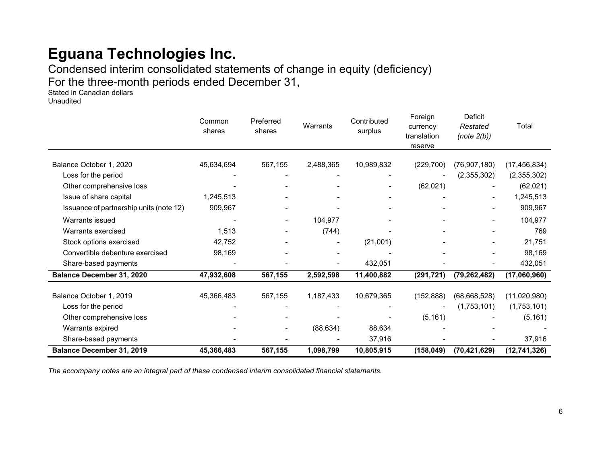Condensed interim consolidated statements of change in equity (deficiency) For the three-month periods ended December 31,

Stated in Canadian dollars Unaudited

|                                         | Common<br>shares | Preferred<br>shares      | Warrants  | Contributed<br>surplus | Foreign<br>currency<br>translation<br>reserve | Deficit<br>Restated<br>(note 2(b)) | Total          |
|-----------------------------------------|------------------|--------------------------|-----------|------------------------|-----------------------------------------------|------------------------------------|----------------|
| Balance October 1, 2020                 | 45,634,694       | 567,155                  | 2,488,365 | 10,989,832             | (229, 700)                                    | (76, 907, 180)                     | (17, 456, 834) |
| Loss for the period                     |                  |                          |           |                        |                                               | (2,355,302)                        | (2,355,302)    |
| Other comprehensive loss                |                  |                          |           |                        | (62,021)                                      |                                    | (62,021)       |
| Issue of share capital                  | 1,245,513        |                          |           |                        |                                               |                                    | 1,245,513      |
| Issuance of partnership units (note 12) | 909,967          |                          |           |                        |                                               |                                    | 909,967        |
| Warrants issued                         |                  | -                        | 104,977   |                        |                                               |                                    | 104,977        |
| Warrants exercised                      | 1,513            | $\overline{\phantom{a}}$ | (744)     |                        |                                               |                                    | 769            |
| Stock options exercised                 | 42,752           |                          |           | (21,001)               |                                               |                                    | 21,751         |
| Convertible debenture exercised         | 98,169           |                          |           |                        |                                               |                                    | 98,169         |
| Share-based payments                    |                  |                          |           | 432,051                |                                               |                                    | 432,051        |
| <b>Balance December 31, 2020</b>        | 47,932,608       | 567,155                  | 2,592,598 | 11,400,882             | (291, 721)                                    | (79, 262, 482)                     | (17,060,960)   |
|                                         |                  |                          |           |                        |                                               |                                    |                |
| Balance October 1, 2019                 | 45,366,483       | 567,155                  | 1,187,433 | 10,679,365             | (152, 888)                                    | (68, 668, 528)                     | (11,020,980)   |
| Loss for the period                     |                  |                          |           |                        |                                               | (1,753,101)                        | (1,753,101)    |
| Other comprehensive loss                |                  |                          |           |                        | (5, 161)                                      |                                    | (5, 161)       |
| Warrants expired                        |                  |                          | (88, 634) | 88,634                 |                                               |                                    |                |
| Share-based payments                    |                  |                          |           | 37,916                 |                                               |                                    | 37,916         |
| <b>Balance December 31, 2019</b>        | 45,366,483       | 567,155                  | 1,098,799 | 10,805,915             | (158, 049)                                    | (70, 421, 629)                     | (12, 741, 326) |

*The accompany notes are an integral part of these condensed interim consolidated financial statements.*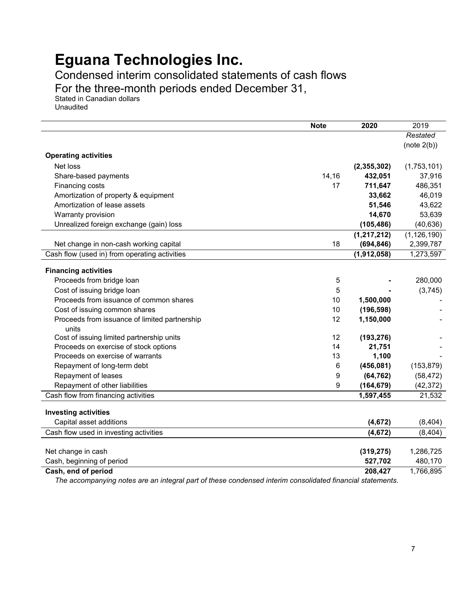Condensed interim consolidated statements of cash flows

For the three-month periods ended December 31,

Stated in Canadian dollars Unaudited

|                                                                                    | <b>Note</b> | 2020                | 2019          |
|------------------------------------------------------------------------------------|-------------|---------------------|---------------|
|                                                                                    |             |                     | Restated      |
|                                                                                    |             |                     | (note 2(b))   |
| <b>Operating activities</b>                                                        |             |                     |               |
| Net loss                                                                           |             | (2,355,302)         | (1,753,101)   |
| Share-based payments                                                               | 14,16       | 432,051             | 37,916        |
| Financing costs                                                                    | 17          | 711,647             | 486,351       |
| Amortization of property & equipment                                               |             | 33,662              | 46,019        |
| Amortization of lease assets                                                       |             | 51,546              | 43,622        |
| Warranty provision                                                                 |             | 14,670              | 53,639        |
| Unrealized foreign exchange (gain) loss                                            |             | (105, 486)          | (40, 636)     |
|                                                                                    |             | (1, 217, 212)       | (1, 126, 190) |
| Net change in non-cash working capital                                             | 18          | (694, 846)          | 2,399,787     |
| Cash flow (used in) from operating activities                                      |             | (1,912,058)         | 1,273,597     |
|                                                                                    |             |                     |               |
| <b>Financing activities</b>                                                        |             |                     |               |
| Proceeds from bridge loan                                                          | 5           |                     | 280,000       |
| Cost of issuing bridge loan                                                        | 5           |                     | (3,745)       |
| Proceeds from issuance of common shares                                            | 10          | 1,500,000           |               |
| Cost of issuing common shares                                                      | 10          | (196, 598)          |               |
| Proceeds from issuance of limited partnership                                      | 12          | 1,150,000           |               |
| units                                                                              | 12          |                     |               |
| Cost of issuing limited partnership units<br>Proceeds on exercise of stock options | 14          | (193, 276)          |               |
| Proceeds on exercise of warrants                                                   | 13          | 21,751              |               |
| Repayment of long-term debt                                                        | 6           | 1,100<br>(456, 081) | (153, 879)    |
| Repayment of leases                                                                | 9           | (64, 762)           | (58, 472)     |
| Repayment of other liabilities                                                     | 9           | (164, 679)          | (42, 372)     |
| Cash flow from financing activities                                                |             | 1,597,455           | 21,532        |
|                                                                                    |             |                     |               |
| <b>Investing activities</b>                                                        |             |                     |               |
| Capital asset additions                                                            |             | (4, 672)            | (8, 404)      |
| Cash flow used in investing activities                                             |             | (4, 672)            | (8, 404)      |
|                                                                                    |             |                     |               |
| Net change in cash                                                                 |             | (319, 275)          | 1,286,725     |
| Cash, beginning of period                                                          |             | 527,702             | 480,170       |
| Cash, end of period                                                                |             | 208,427             | 1,766,895     |

*The accompanying notes are an integral part of these condensed interim consolidated financial statements.*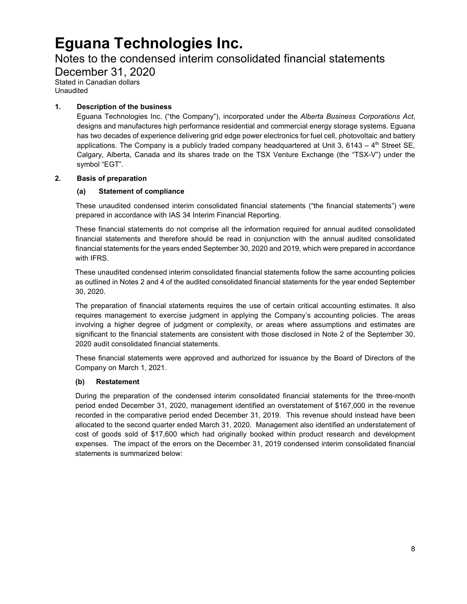### Notes to the condensed interim consolidated financial statements

December 31, 2020 Stated in Canadian dollars

Unaudited

### **1. Description of the business**

Eguana Technologies Inc. ("the Company"), incorporated under the *Alberta Business Corporations Act*, designs and manufactures high performance residential and commercial energy storage systems. Eguana has two decades of experience delivering grid edge power electronics for fuel cell, photovoltaic and battery applications. The Company is a publicly traded company headquartered at Unit 3, 6143 –  $4<sup>th</sup>$  Street SE, Calgary, Alberta, Canada and its shares trade on the TSX Venture Exchange (the "TSX-V") under the symbol "EGT".

### **2. Basis of preparation**

### **(a) Statement of compliance**

These unaudited condensed interim consolidated financial statements ("the financial statements") were prepared in accordance with IAS 34 Interim Financial Reporting.

These financial statements do not comprise all the information required for annual audited consolidated financial statements and therefore should be read in conjunction with the annual audited consolidated financial statements for the years ended September 30, 2020 and 2019, which were prepared in accordance with IFRS.

These unaudited condensed interim consolidated financial statements follow the same accounting policies as outlined in Notes 2 and 4 of the audited consolidated financial statements for the year ended September 30, 2020.

The preparation of financial statements requires the use of certain critical accounting estimates. It also requires management to exercise judgment in applying the Company's accounting policies. The areas involving a higher degree of judgment or complexity, or areas where assumptions and estimates are significant to the financial statements are consistent with those disclosed in Note 2 of the September 30, 2020 audit consolidated financial statements.

These financial statements were approved and authorized for issuance by the Board of Directors of the Company on March 1, 2021.

### **(b) Restatement**

During the preparation of the condensed interim consolidated financial statements for the three-month period ended December 31, 2020, management identified an overstatement of \$167,000 in the revenue recorded in the comparative period ended December 31, 2019. This revenue should instead have been allocated to the second quarter ended March 31, 2020. Management also identified an understatement of cost of goods sold of \$17,600 which had originally booked within product research and development expenses. The impact of the errors on the December 31, 2019 condensed interim consolidated financial statements is summarized below: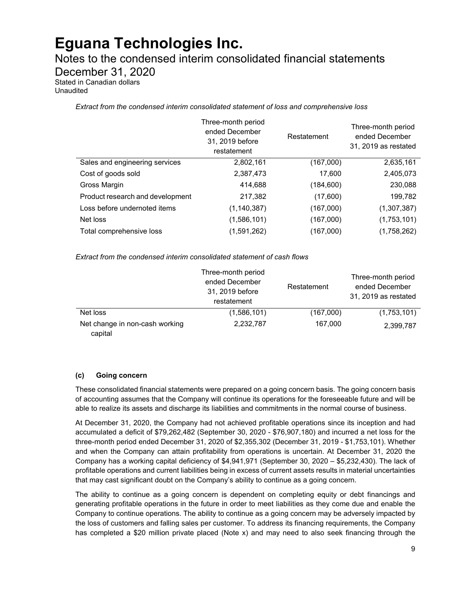Notes to the condensed interim consolidated financial statements

December 31, 2020

Stated in Canadian dollars Unaudited

*Extract from the condensed interim consolidated statement of loss and comprehensive loss* 

|                                  | Three-month period<br>ended December<br>31, 2019 before<br>restatement | Restatement | Three-month period<br>ended December<br>31, 2019 as restated |
|----------------------------------|------------------------------------------------------------------------|-------------|--------------------------------------------------------------|
| Sales and engineering services   | 2,802,161                                                              | (167,000)   | 2,635,161                                                    |
| Cost of goods sold               | 2,387,473                                                              | 17,600      | 2,405,073                                                    |
| Gross Margin                     | 414,688                                                                | (184, 600)  | 230,088                                                      |
| Product research and development | 217,382                                                                | (17,600)    | 199,782                                                      |
| Loss before undernoted items     | (1, 140, 387)                                                          | (167,000)   | (1,307,387)                                                  |
| Net loss                         | (1,586,101)                                                            | (167,000)   | (1,753,101)                                                  |
| Total comprehensive loss         | (1,591,262)                                                            | (167,000)   | (1,758,262)                                                  |

*Extract from the condensed interim consolidated statement of cash flows*

|                                           | Three-month period<br>ended December<br>31, 2019 before<br>restatement | Restatement | Three-month period<br>ended December<br>31, 2019 as restated |
|-------------------------------------------|------------------------------------------------------------------------|-------------|--------------------------------------------------------------|
| Net loss                                  | (1,586,101)                                                            | (167,000)   | (1,753,101)                                                  |
| Net change in non-cash working<br>capital | 2,232,787                                                              | 167,000     | 2,399,787                                                    |

### **(c) Going concern**

These consolidated financial statements were prepared on a going concern basis. The going concern basis of accounting assumes that the Company will continue its operations for the foreseeable future and will be able to realize its assets and discharge its liabilities and commitments in the normal course of business.

At December 31, 2020, the Company had not achieved profitable operations since its inception and had accumulated a deficit of \$79,262,482 (September 30, 2020 - \$76,907,180) and incurred a net loss for the three-month period ended December 31, 2020 of \$2,355,302 (December 31, 2019 - \$1,753,101). Whether and when the Company can attain profitability from operations is uncertain. At December 31, 2020 the Company has a working capital deficiency of \$4,941,971 (September 30, 2020 – \$5,232,430). The lack of profitable operations and current liabilities being in excess of current assets results in material uncertainties that may cast significant doubt on the Company's ability to continue as a going concern.

The ability to continue as a going concern is dependent on completing equity or debt financings and generating profitable operations in the future in order to meet liabilities as they come due and enable the Company to continue operations. The ability to continue as a going concern may be adversely impacted by the loss of customers and falling sales per customer. To address its financing requirements, the Company has completed a \$20 million private placed (Note x) and may need to also seek financing through the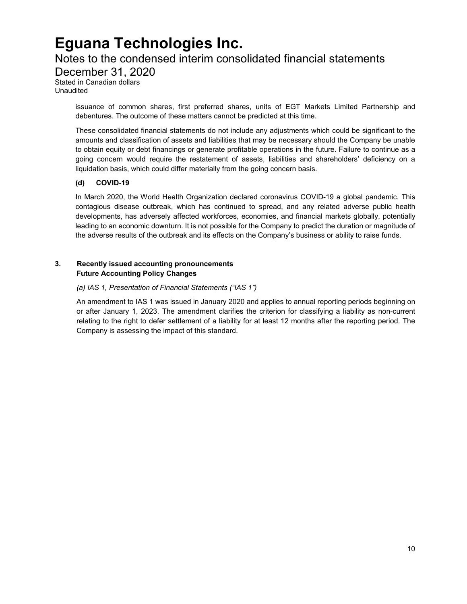### Notes to the condensed interim consolidated financial statements

December 31, 2020

Stated in Canadian dollars Unaudited

> issuance of common shares, first preferred shares, units of EGT Markets Limited Partnership and debentures. The outcome of these matters cannot be predicted at this time.

> These consolidated financial statements do not include any adjustments which could be significant to the amounts and classification of assets and liabilities that may be necessary should the Company be unable to obtain equity or debt financings or generate profitable operations in the future. Failure to continue as a going concern would require the restatement of assets, liabilities and shareholders' deficiency on a liquidation basis, which could differ materially from the going concern basis.

### **(d) COVID-19**

In March 2020, the World Health Organization declared coronavirus COVID-19 a global pandemic. This contagious disease outbreak, which has continued to spread, and any related adverse public health developments, has adversely affected workforces, economies, and financial markets globally, potentially leading to an economic downturn. It is not possible for the Company to predict the duration or magnitude of the adverse results of the outbreak and its effects on the Company's business or ability to raise funds.

### **3. Recently issued accounting pronouncements Future Accounting Policy Changes**

### *(a) IAS 1, Presentation of Financial Statements ("IAS 1")*

An amendment to IAS 1 was issued in January 2020 and applies to annual reporting periods beginning on or after January 1, 2023. The amendment clarifies the criterion for classifying a liability as non-current relating to the right to defer settlement of a liability for at least 12 months after the reporting period. The Company is assessing the impact of this standard.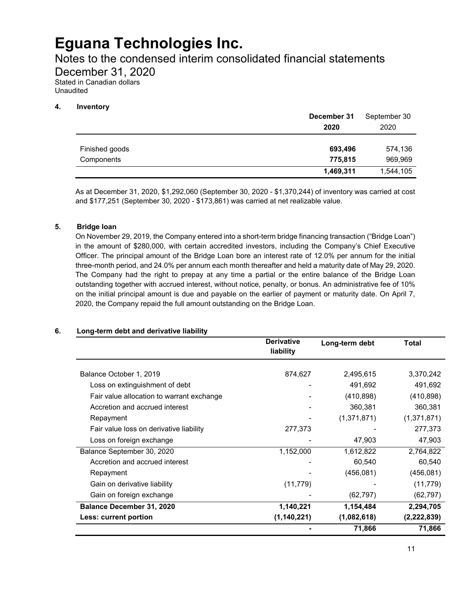Notes to the condensed interim consolidated financial statements

December 31, 2020

Stated in Canadian dollars Unaudited

### **4. Inventory**

|                              | December 31<br>2020 | September 30<br>2020 |
|------------------------------|---------------------|----------------------|
| Finished goods<br>Components | 693,496<br>775,815  | 574,136<br>969,969   |
|                              | 1,469,311           | 1,544,105            |

As at December 31, 2020, \$1,292,060 (September 30, 2020 - \$1,370,244) of inventory was carried at cost and \$177,251 (September 30, 2020 - \$173,861) was carried at net realizable value.

### **5. Bridge loan**

On November 29, 2019, the Company entered into a short-term bridge financing transaction ("Bridge Loan") in the amount of \$280,000, with certain accredited investors, including the Company's Chief Executive Officer. The principal amount of the Bridge Loan bore an interest rate of 12.0% per annum for the initial three-month period, and 24.0% per annum each month thereafter and held a maturity date of May 29, 2020. The Company had the right to prepay at any time a partial or the entire balance of the Bridge Loan outstanding together with accrued interest, without notice, penalty, or bonus. An administrative fee of 10% on the initial principal amount is due and payable on the earlier of payment or maturity date. On April 7, 2020, the Company repaid the full amount outstanding on the Bridge Loan.

### **6. Long-term debt and derivative liability**

|                                           | <b>Derivative</b><br>liability | Long-term debt | Total       |
|-------------------------------------------|--------------------------------|----------------|-------------|
| Balance October 1, 2019                   | 874,627                        | 2,495,615      | 3,370,242   |
| Loss on extinguishment of debt            |                                | 491,692        | 491,692     |
| Fair value allocation to warrant exchange |                                | (410, 898)     | (410, 898)  |
| Accretion and accrued interest            |                                | 360,381        | 360,381     |
| Repayment                                 |                                | (1,371,871)    | (1,371,871) |
| Fair value loss on derivative liability   | 277,373                        |                | 277,373     |
| Loss on foreign exchange                  |                                | 47,903         | 47,903      |
| Balance September 30, 2020                | 1,152,000                      | 1,612,822      | 2,764,822   |
| Accretion and accrued interest            |                                | 60,540         | 60,540      |
| Repayment                                 |                                | (456, 081)     | (456, 081)  |
| Gain on derivative liability              | (11, 779)                      |                | (11, 779)   |
| Gain on foreign exchange                  |                                | (62, 797)      | (62, 797)   |
| Balance December 31, 2020                 | 1,140,221                      | 1,154,484      | 2,294,705   |
| Less: current portion                     | (1, 140, 221)                  | (1,082,618)    | (2,222,839) |
|                                           |                                | 71,866         | 71,866      |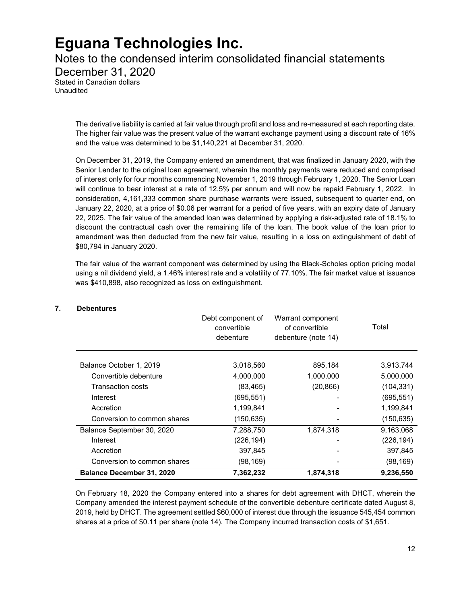Notes to the condensed interim consolidated financial statements

December 31, 2020

Stated in Canadian dollars Unaudited

> The derivative liability is carried at fair value through profit and loss and re-measured at each reporting date. The higher fair value was the present value of the warrant exchange payment using a discount rate of 16% and the value was determined to be \$1,140,221 at December 31, 2020.

> On December 31, 2019, the Company entered an amendment, that was finalized in January 2020, with the Senior Lender to the original loan agreement, wherein the monthly payments were reduced and comprised of interest only for four months commencing November 1, 2019 through February 1, 2020. The Senior Loan will continue to bear interest at a rate of 12.5% per annum and will now be repaid February 1, 2022. In consideration, 4,161,333 common share purchase warrants were issued, subsequent to quarter end, on January 22, 2020, at a price of \$0.06 per warrant for a period of five years, with an expiry date of January 22, 2025. The fair value of the amended loan was determined by applying a risk-adjusted rate of 18.1% to discount the contractual cash over the remaining life of the loan. The book value of the loan prior to amendment was then deducted from the new fair value, resulting in a loss on extinguishment of debt of \$80,794 in January 2020.

> The fair value of the warrant component was determined by using the Black-Scholes option pricing model using a nil dividend yield, a 1.46% interest rate and a volatility of 77.10%. The fair market value at issuance was \$410,898, also recognized as loss on extinguishment.

|                                  | Debt component of<br>convertible<br>debenture | Warrant component<br>of convertible<br>debenture (note 14) | Total      |
|----------------------------------|-----------------------------------------------|------------------------------------------------------------|------------|
| Balance October 1, 2019          | 3,018,560                                     | 895,184                                                    | 3,913,744  |
| Convertible debenture            | 4,000,000                                     | 1,000,000                                                  | 5,000,000  |
| Transaction costs                | (83, 465)                                     | (20, 866)                                                  | (104, 331) |
| Interest                         | (695, 551)                                    |                                                            | (695, 551) |
| Accretion                        | 1,199,841                                     |                                                            | 1,199,841  |
| Conversion to common shares      | (150, 635)                                    |                                                            | (150, 635) |
| Balance September 30, 2020       | 7,288,750                                     | 1,874,318                                                  | 9,163,068  |
| Interest                         | (226, 194)                                    |                                                            | (226, 194) |
| Accretion                        | 397,845                                       |                                                            | 397,845    |
| Conversion to common shares      | (98,169)                                      |                                                            | (98, 169)  |
| <b>Balance December 31, 2020</b> | 7,362,232                                     | 1,874,318                                                  | 9,236,550  |

### **7. Debentures**

On February 18, 2020 the Company entered into a shares for debt agreement with DHCT, wherein the Company amended the interest payment schedule of the convertible debenture certificate dated August 8, 2019, held by DHCT. The agreement settled \$60,000 of interest due through the issuance 545,454 common shares at a price of \$0.11 per share (note 14). The Company incurred transaction costs of \$1,651.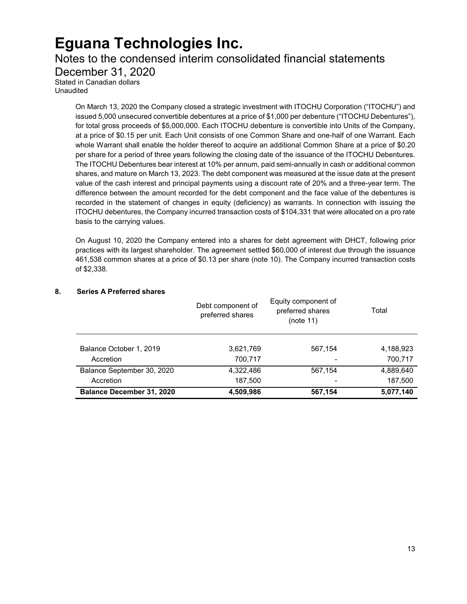### Notes to the condensed interim consolidated financial statements

December 31, 2020

Stated in Canadian dollars Unaudited

> On March 13, 2020 the Company closed a strategic investment with ITOCHU Corporation ("ITOCHU") and issued 5,000 unsecured convertible debentures at a price of \$1,000 per debenture ("ITOCHU Debentures"), for total gross proceeds of \$5,000,000. Each ITOCHU debenture is convertible into Units of the Company, at a price of \$0.15 per unit. Each Unit consists of one Common Share and one-half of one Warrant. Each whole Warrant shall enable the holder thereof to acquire an additional Common Share at a price of \$0.20 per share for a period of three years following the closing date of the issuance of the ITOCHU Debentures. The ITOCHU Debentures bear interest at 10% per annum, paid semi-annually in cash or additional common shares, and mature on March 13, 2023. The debt component was measured at the issue date at the present value of the cash interest and principal payments using a discount rate of 20% and a three-year term. The difference between the amount recorded for the debt component and the face value of the debentures is recorded in the statement of changes in equity (deficiency) as warrants. In connection with issuing the ITOCHU debentures, the Company incurred transaction costs of \$104,331 that were allocated on a pro rate basis to the carrying values.

> On August 10, 2020 the Company entered into a shares for debt agreement with DHCT, following prior practices with its largest shareholder. The agreement settled \$60,000 of interest due through the issuance 461,538 common shares at a price of \$0.13 per share (note 10). The Company incurred transaction costs of \$2,338.

### **8. Series A Preferred shares**

|                                  | Debt component of<br>preferred shares | Equity component of<br>preferred shares<br>(note 11) | Total     |
|----------------------------------|---------------------------------------|------------------------------------------------------|-----------|
| Balance October 1, 2019          | 3,621,769                             | 567,154                                              | 4,188,923 |
| Accretion                        | 700,717                               |                                                      | 700,717   |
| Balance September 30, 2020       | 4,322,486                             | 567,154                                              | 4,889,640 |
| Accretion                        | 187,500                               |                                                      | 187,500   |
| <b>Balance December 31, 2020</b> | 4,509,986                             | 567,154                                              | 5,077,140 |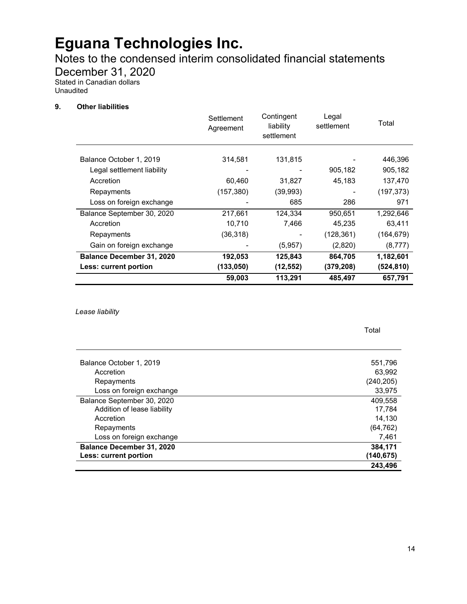Notes to the condensed interim consolidated financial statements

December 31, 2020

Stated in Canadian dollars Unaudited

#### **9. Other liabilities**

|                                  | Settlement<br>Agreement | Contingent<br>liability<br>settlement | Legal<br>settlement | Total      |
|----------------------------------|-------------------------|---------------------------------------|---------------------|------------|
| Balance October 1, 2019          | 314,581                 | 131,815                               |                     | 446,396    |
| Legal settlement liability       |                         |                                       | 905,182             | 905,182    |
| Accretion                        | 60,460                  | 31,827                                | 45,183              | 137,470    |
| Repayments                       | (157, 380)              | (39, 993)                             |                     | (197, 373) |
| Loss on foreign exchange         |                         | 685                                   | 286                 | 971        |
| Balance September 30, 2020       | 217,661                 | 124,334                               | 950,651             | 1,292,646  |
| Accretion                        | 10,710                  | 7,466                                 | 45,235              | 63,411     |
| Repayments                       | (36, 318)               |                                       | (128, 361)          | (164, 679) |
| Gain on foreign exchange         |                         | (5,957)                               | (2,820)             | (8, 777)   |
| <b>Balance December 31, 2020</b> | 192,053                 | 125,843                               | 864,705             | 1,182,601  |
| Less: current portion            | (133,050)               | (12, 552)                             | (379, 208)          | (524, 810) |
|                                  | 59,003                  | 113,291                               | 485,497             | 657,791    |

*Lease liability*

j.

| Balance October 1, 2019          | 551,796    |
|----------------------------------|------------|
| Accretion                        | 63,992     |
| Repayments                       | (240, 205) |
| Loss on foreign exchange         | 33,975     |
| Balance September 30, 2020       | 409,558    |
| Addition of lease liability      | 17,784     |
| Accretion                        | 14,130     |
| Repayments                       | (64, 762)  |
| Loss on foreign exchange         | 7,461      |
| <b>Balance December 31, 2020</b> | 384,171    |
| Less: current portion            | (140,675)  |
|                                  | 243,496    |

Total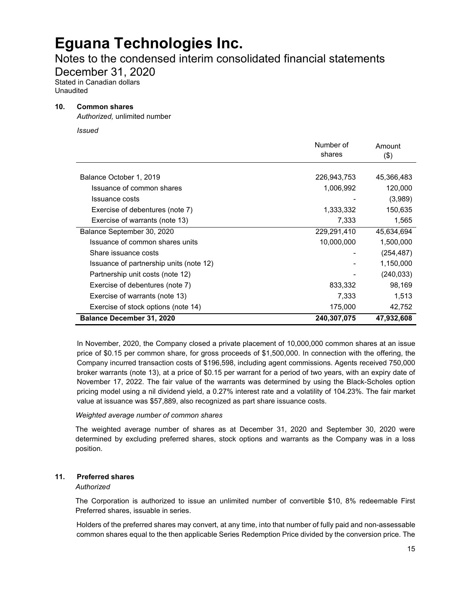### Notes to the condensed interim consolidated financial statements

December 31, 2020

Stated in Canadian dollars Unaudited

#### **10. Common shares**

*Authorized,* unlimited number

*Issued*

|                                         | Number of   | Amount     |
|-----------------------------------------|-------------|------------|
|                                         | shares      | $($ \$)    |
|                                         |             |            |
| Balance October 1, 2019                 | 226,943,753 | 45,366,483 |
| Issuance of common shares               | 1,006,992   | 120,000    |
| Issuance costs                          |             | (3,989)    |
| Exercise of debentures (note 7)         | 1,333,332   | 150,635    |
| Exercise of warrants (note 13)          | 7,333       | 1,565      |
| Balance September 30, 2020              | 229,291,410 | 45.634.694 |
| Issuance of common shares units         | 10,000,000  | 1,500,000  |
| Share issuance costs                    |             | (254, 487) |
| Issuance of partnership units (note 12) |             | 1,150,000  |
| Partnership unit costs (note 12)        |             | (240, 033) |
| Exercise of debentures (note 7)         | 833,332     | 98,169     |
| Exercise of warrants (note 13)          | 7,333       | 1,513      |
| Exercise of stock options (note 14)     | 175,000     | 42,752     |
| <b>Balance December 31, 2020</b>        | 240,307,075 | 47,932,608 |

In November, 2020, the Company closed a private placement of 10,000,000 common shares at an issue price of \$0.15 per common share, for gross proceeds of \$1,500,000. In connection with the offering, the Company incurred transaction costs of \$196,598, including agent commissions. Agents received 750,000 broker warrants (note 13), at a price of \$0.15 per warrant for a period of two years, with an expiry date of November 17, 2022. The fair value of the warrants was determined by using the Black-Scholes option pricing model using a nil dividend yield, a 0.27% interest rate and a volatility of 104.23%. The fair market value at issuance was \$57,889, also recognized as part share issuance costs.

#### *Weighted average number of common shares*

The weighted average number of shares as at December 31, 2020 and September 30, 2020 were determined by excluding preferred shares, stock options and warrants as the Company was in a loss position.

### **11. Preferred shares**

### *Authorized*

The Corporation is authorized to issue an unlimited number of convertible \$10, 8% redeemable First Preferred shares, issuable in series.

Holders of the preferred shares may convert, at any time, into that number of fully paid and non-assessable common shares equal to the then applicable Series Redemption Price divided by the conversion price. The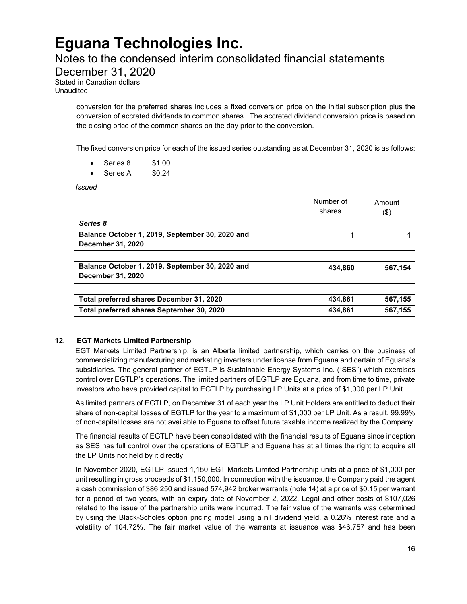### Notes to the condensed interim consolidated financial statements

December 31, 2020

Stated in Canadian dollars Unaudited

> conversion for the preferred shares includes a fixed conversion price on the initial subscription plus the conversion of accreted dividends to common shares. The accreted dividend conversion price is based on the closing price of the common shares on the day prior to the conversion.

> The fixed conversion price for each of the issued series outstanding as at December 31, 2020 is as follows:

- Series 8 \$1.00
- Series A \$0.24

*Issued*

|                                                                                       | Number of<br>shares | Amount<br>(\$)     |
|---------------------------------------------------------------------------------------|---------------------|--------------------|
| Series 8                                                                              |                     |                    |
| Balance October 1, 2019, September 30, 2020 and<br>December 31, 2020                  | 1                   |                    |
| Balance October 1, 2019, September 30, 2020 and<br>December 31, 2020                  | 434.860             | 567,154            |
| Total preferred shares December 31, 2020<br>Total preferred shares September 30, 2020 | 434.861<br>434.861  | 567,155<br>567,155 |

#### **12. EGT Markets Limited Partnership**

EGT Markets Limited Partnership, is an Alberta limited partnership, which carries on the business of commercializing manufacturing and marketing inverters under license from Eguana and certain of Eguana's subsidiaries. The general partner of EGTLP is Sustainable Energy Systems Inc. ("SES") which exercises control over EGTLP's operations. The limited partners of EGTLP are Eguana, and from time to time, private investors who have provided capital to EGTLP by purchasing LP Units at a price of \$1,000 per LP Unit.

As limited partners of EGTLP, on December 31 of each year the LP Unit Holders are entitled to deduct their share of non-capital losses of EGTLP for the year to a maximum of \$1,000 per LP Unit. As a result, 99.99% of non-capital losses are not available to Eguana to offset future taxable income realized by the Company.

The financial results of EGTLP have been consolidated with the financial results of Eguana since inception as SES has full control over the operations of EGTLP and Eguana has at all times the right to acquire all the LP Units not held by it directly.

In November 2020, EGTLP issued 1,150 EGT Markets Limited Partnership units at a price of \$1,000 per unit resulting in gross proceeds of \$1,150,000. In connection with the issuance, the Company paid the agent a cash commission of \$86,250 and issued 574,942 broker warrants (note 14) at a price of \$0.15 per warrant for a period of two years, with an expiry date of November 2, 2022. Legal and other costs of \$107,026 related to the issue of the partnership units were incurred. The fair value of the warrants was determined by using the Black-Scholes option pricing model using a nil dividend yield, a 0.26% interest rate and a volatility of 104.72%. The fair market value of the warrants at issuance was \$46,757 and has been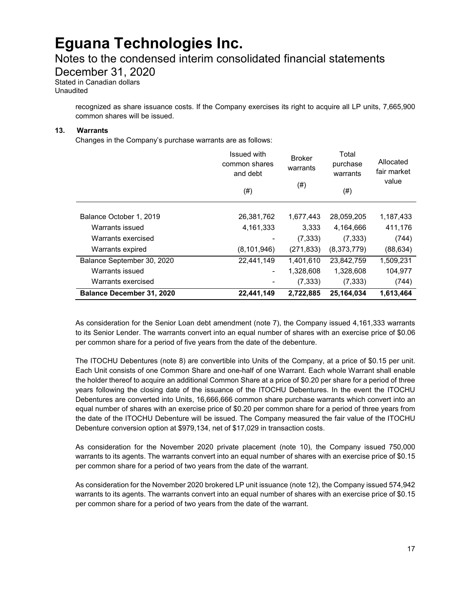### Notes to the condensed interim consolidated financial statements

December 31, 2020

Stated in Canadian dollars Unaudited

> recognized as share issuance costs. If the Company exercises its right to acquire all LP units, 7,665,900 common shares will be issued.

#### **13. Warrants**

Changes in the Company's purchase warrants are as follows:

|                                  | <b>Issued with</b><br>common shares<br>and debt<br>(# ) | <b>Broker</b><br>warrants<br>$^{(#)}$ | Total<br>purchase<br>warrants<br>(# ) | Allocated<br>fair market<br>value |
|----------------------------------|---------------------------------------------------------|---------------------------------------|---------------------------------------|-----------------------------------|
|                                  |                                                         |                                       |                                       |                                   |
| Balance October 1, 2019          | 26,381,762                                              | 1,677,443                             | 28,059,205                            | 1,187,433                         |
| Warrants issued                  | 4,161,333                                               | 3,333                                 | 4,164,666                             | 411,176                           |
| Warrants exercised               |                                                         | (7, 333)                              | (7, 333)                              | (744)                             |
| Warrants expired                 | (8, 101, 946)                                           | (271, 833)                            | (8,373,779)                           | (88,634)                          |
| Balance September 30, 2020       | 22,441,149                                              | 1,401,610                             | 23,842,759                            | 1,509,231                         |
| Warrants issued                  | ٠                                                       | 1,328,608                             | 1,328,608                             | 104,977                           |
| Warrants exercised               |                                                         | (7, 333)                              | (7, 333)                              | (744)                             |
| <b>Balance December 31, 2020</b> | 22,441,149                                              | 2,722,885                             | 25,164,034                            | 1,613,464                         |

As consideration for the Senior Loan debt amendment (note 7), the Company issued 4,161,333 warrants to its Senior Lender. The warrants convert into an equal number of shares with an exercise price of \$0.06 per common share for a period of five years from the date of the debenture.

The ITOCHU Debentures (note 8) are convertible into Units of the Company, at a price of \$0.15 per unit. Each Unit consists of one Common Share and one-half of one Warrant. Each whole Warrant shall enable the holder thereof to acquire an additional Common Share at a price of \$0.20 per share for a period of three years following the closing date of the issuance of the ITOCHU Debentures. In the event the ITOCHU Debentures are converted into Units, 16,666,666 common share purchase warrants which convert into an equal number of shares with an exercise price of \$0.20 per common share for a period of three years from the date of the ITOCHU Debenture will be issued. The Company measured the fair value of the ITOCHU Debenture conversion option at \$979,134, net of \$17,029 in transaction costs.

As consideration for the November 2020 private placement (note 10), the Company issued 750,000 warrants to its agents. The warrants convert into an equal number of shares with an exercise price of \$0.15 per common share for a period of two years from the date of the warrant.

As consideration for the November 2020 brokered LP unit issuance (note 12), the Company issued 574,942 warrants to its agents. The warrants convert into an equal number of shares with an exercise price of \$0.15 per common share for a period of two years from the date of the warrant.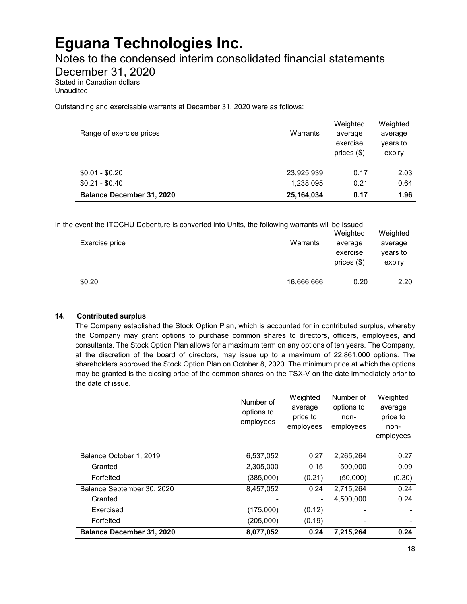Notes to the condensed interim consolidated financial statements

December 31, 2020

Stated in Canadian dollars Unaudited

Outstanding and exercisable warrants at December 31, 2020 were as follows:

| Range of exercise prices           | Warrants                | Weighted<br>average<br>exercise<br>prices $(\$)$ | Weighted<br>average<br>years to<br>expiry |
|------------------------------------|-------------------------|--------------------------------------------------|-------------------------------------------|
| $$0.01 - $0.20$<br>$$0.21 - $0.40$ | 23,925,939<br>1,238,095 | 0.17<br>0.21                                     | 2.03<br>0.64                              |
| <b>Balance December 31, 2020</b>   | 25,164,034              | 0.17                                             | 1.96                                      |

In the event the ITOCHU Debenture is converted into Units, the following warrants will be issued:

| Exercise price | Warrants   | Weighted<br>average<br>exercise<br>prices $(\$)$ | Weighted<br>average<br>years to<br>expiry |
|----------------|------------|--------------------------------------------------|-------------------------------------------|
| \$0.20         | 16,666,666 | 0.20                                             | 2.20                                      |

### **14. Contributed surplus**

The Company established the Stock Option Plan, which is accounted for in contributed surplus, whereby the Company may grant options to purchase common shares to directors, officers, employees, and consultants. The Stock Option Plan allows for a maximum term on any options of ten years. The Company, at the discretion of the board of directors, may issue up to a maximum of 22,861,000 options. The shareholders approved the Stock Option Plan on October 8, 2020. The minimum price at which the options may be granted is the closing price of the common shares on the TSX-V on the date immediately prior to the date of issue.

|                                  | Number of<br>options to<br>employees | Weighted<br>average<br>price to<br>employees | Number of<br>options to<br>non-<br>employees | Weighted<br>average<br>price to<br>non-<br>employees |
|----------------------------------|--------------------------------------|----------------------------------------------|----------------------------------------------|------------------------------------------------------|
|                                  |                                      |                                              |                                              |                                                      |
| Balance October 1, 2019          | 6,537,052                            | 0.27                                         | 2,265,264                                    | 0.27                                                 |
| Granted                          | 2,305,000                            | 0.15                                         | 500,000                                      | 0.09                                                 |
| Forfeited                        | (385,000)                            | (0.21)                                       | (50,000)                                     | (0.30)                                               |
| Balance September 30, 2020       | 8,457,052                            | 0.24                                         | 2.715.264                                    | 0.24                                                 |
| Granted                          |                                      |                                              | 4.500.000                                    | 0.24                                                 |
| Exercised                        | (175,000)                            | (0.12)                                       |                                              |                                                      |
| Forfeited                        | (205,000)                            | (0.19)                                       |                                              |                                                      |
| <b>Balance December 31, 2020</b> | 8,077,052                            | 0.24                                         | 7,215,264                                    | 0.24                                                 |

Weighted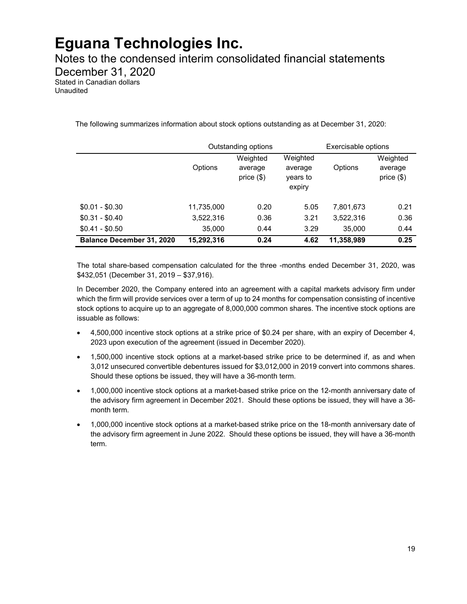Notes to the condensed interim consolidated financial statements

December 31, 2020

Stated in Canadian dollars Unaudited

The following summarizes information about stock options outstanding as at December 31, 2020:

|                                  |            | Outstanding options                 |                                           | Exercisable options |                                     |
|----------------------------------|------------|-------------------------------------|-------------------------------------------|---------------------|-------------------------------------|
|                                  | Options    | Weighted<br>average<br>price $(\$)$ | Weighted<br>average<br>years to<br>expiry | Options             | Weighted<br>average<br>price $(\$)$ |
| $$0.01 - $0.30$                  | 11,735,000 | 0.20                                | 5.05                                      | 7,801,673           | 0.21                                |
| $$0.31 - $0.40$                  | 3,522,316  | 0.36                                | 3.21                                      | 3,522,316           | 0.36                                |
| $$0.41 - $0.50$                  | 35,000     | 0.44                                | 3.29                                      | 35,000              | 0.44                                |
| <b>Balance December 31, 2020</b> | 15,292,316 | 0.24                                | 4.62                                      | 11,358,989          | 0.25                                |

The total share-based compensation calculated for the three -months ended December 31, 2020, was \$432,051 (December 31, 2019 – \$37,916).

In December 2020, the Company entered into an agreement with a capital markets advisory firm under which the firm will provide services over a term of up to 24 months for compensation consisting of incentive stock options to acquire up to an aggregate of 8,000,000 common shares. The incentive stock options are issuable as follows:

- 4,500,000 incentive stock options at a strike price of \$0.24 per share, with an expiry of December 4, 2023 upon execution of the agreement (issued in December 2020).
- 1,500,000 incentive stock options at a market-based strike price to be determined if, as and when 3,012 unsecured convertible debentures issued for \$3,012,000 in 2019 convert into commons shares. Should these options be issued, they will have a 36-month term.
- 1,000,000 incentive stock options at a market-based strike price on the 12-month anniversary date of the advisory firm agreement in December 2021. Should these options be issued, they will have a 36 month term.
- 1,000,000 incentive stock options at a market-based strike price on the 18-month anniversary date of the advisory firm agreement in June 2022. Should these options be issued, they will have a 36-month term.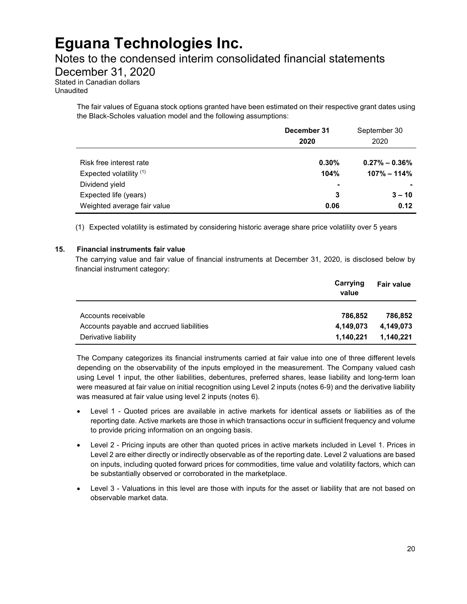### Notes to the condensed interim consolidated financial statements

December 31, 2020

Stated in Canadian dollars Unaudited

> The fair values of Eguana stock options granted have been estimated on their respective grant dates using the Black-Scholes valuation model and the following assumptions:

|                             | December 31<br>2020 | September 30<br>2020 |
|-----------------------------|---------------------|----------------------|
|                             |                     |                      |
| Risk free interest rate     | 0.30%               | $0.27\% - 0.36\%$    |
| Expected volatility (1)     | 104%                | $107\% - 114\%$      |
| Dividend yield              | ٠                   |                      |
| Expected life (years)       | 3                   | $3 - 10$             |
| Weighted average fair value | 0.06                | 0.12                 |

(1) Expected volatility is estimated by considering historic average share price volatility over 5 years

#### **15. Financial instruments fair value**

The carrying value and fair value of financial instruments at December 31, 2020, is disclosed below by financial instrument category:

|                                          | Carrying<br>value | Fair value |
|------------------------------------------|-------------------|------------|
| Accounts receivable                      | 786.852           | 786.852    |
| Accounts payable and accrued liabilities | 4,149,073         | 4.149.073  |
| Derivative liability                     | 1,140,221         | 1,140,221  |

The Company categorizes its financial instruments carried at fair value into one of three different levels depending on the observability of the inputs employed in the measurement. The Company valued cash using Level 1 input, the other liabilities, debentures, preferred shares, lease liability and long-term loan were measured at fair value on initial recognition using Level 2 inputs (notes 6-9) and the derivative liability was measured at fair value using level 2 inputs (notes 6).

- Level 1 Quoted prices are available in active markets for identical assets or liabilities as of the reporting date. Active markets are those in which transactions occur in sufficient frequency and volume to provide pricing information on an ongoing basis.
- Level 2 Pricing inputs are other than quoted prices in active markets included in Level 1. Prices in Level 2 are either directly or indirectly observable as of the reporting date. Level 2 valuations are based on inputs, including quoted forward prices for commodities, time value and volatility factors, which can be substantially observed or corroborated in the marketplace.
- Level 3 Valuations in this level are those with inputs for the asset or liability that are not based on observable market data.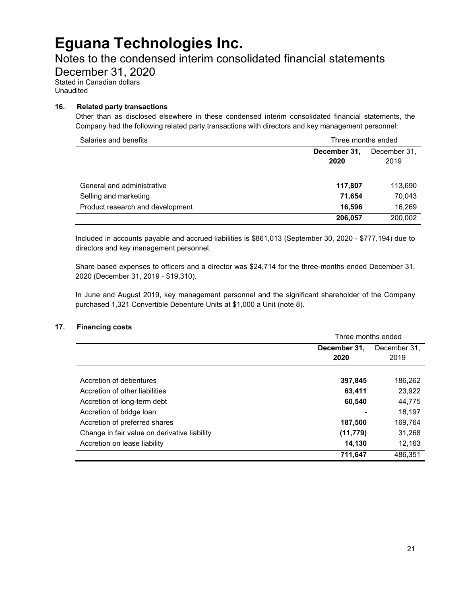### Notes to the condensed interim consolidated financial statements

December 31, 2020

Stated in Canadian dollars Unaudited

### **16. Related party transactions**

Other than as disclosed elsewhere in these condensed interim consolidated financial statements, the Company had the following related party transactions with directors and key management personnel:

| Salaries and benefits            | Three months ended                           |         |
|----------------------------------|----------------------------------------------|---------|
|                                  | December 31,<br>December 31,<br>2020<br>2019 |         |
| General and administrative       | 117,807                                      | 113,690 |
| Selling and marketing            | 71,654                                       | 70,043  |
| Product research and development | 16,596                                       | 16,269  |
|                                  | 206,057                                      | 200,002 |

Included in accounts payable and accrued liabilities is \$861,013 (September 30, 2020 - \$777,194) due to directors and key management personnel.

Share based expenses to officers and a director was \$24,714 for the three-months ended December 31, 2020 (December 31, 2019 - \$19,310).

In June and August 2019, key management personnel and the significant shareholder of the Company purchased 1,321 Convertible Debenture Units at \$1,000 a Unit (note 8).

#### **17. Financing costs**

|                                              | Three months ended           |         |  |
|----------------------------------------------|------------------------------|---------|--|
|                                              | December 31.<br>December 31. |         |  |
|                                              | 2020                         | 2019    |  |
|                                              |                              |         |  |
| Accretion of debentures                      | 397,845                      | 186,262 |  |
| Accretion of other liabilities               | 63,411                       | 23,922  |  |
| Accretion of long-term debt                  | 60,540                       | 44,775  |  |
| Accretion of bridge loan                     |                              | 18.197  |  |
| Accretion of preferred shares                | 187,500                      | 169,764 |  |
| Change in fair value on derivative liability | (11, 779)                    | 31,268  |  |
| Accretion on lease liability                 | 14,130                       | 12,163  |  |
|                                              | 711,647                      | 486.351 |  |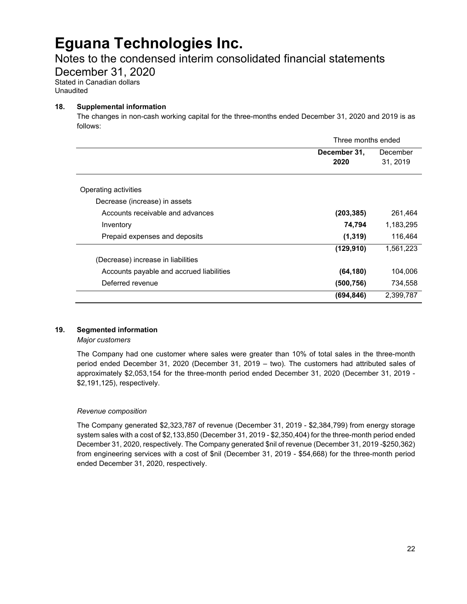### Notes to the condensed interim consolidated financial statements

December 31, 2020

Stated in Canadian dollars Unaudited

### **18. Supplemental information**

The changes in non-cash working capital for the three-months ended December 31, 2020 and 2019 is as follows:

|                                          | Three months ended |           |
|------------------------------------------|--------------------|-----------|
|                                          | December 31,       | December  |
|                                          | 2020               | 31, 2019  |
|                                          |                    |           |
| Operating activities                     |                    |           |
| Decrease (increase) in assets            |                    |           |
| Accounts receivable and advances         | (203, 385)         | 261,464   |
| Inventory                                | 74,794             | 1,183,295 |
| Prepaid expenses and deposits            | (1, 319)           | 116,464   |
|                                          | (129, 910)         | 1,561,223 |
| (Decrease) increase in liabilities       |                    |           |
| Accounts payable and accrued liabilities | (64, 180)          | 104,006   |
| Deferred revenue                         | (500,756)          | 734,558   |
|                                          | (694, 846)         | 2,399,787 |

### **19. Segmented information**

*Major customers*

The Company had one customer where sales were greater than 10% of total sales in the three-month period ended December 31, 2020 (December 31, 2019 – two). The customers had attributed sales of approximately \$2,053,154 for the three-month period ended December 31, 2020 (December 31, 2019 - \$2,191,125), respectively.

### *Revenue composition*

The Company generated \$2,323,787 of revenue (December 31, 2019 - \$2,384,799) from energy storage system sales with a cost of \$2,133,850 (December 31, 2019 - \$2,350,404) for the three-month period ended December 31, 2020, respectively. The Company generated \$nil of revenue (December 31, 2019 -\$250,362) from engineering services with a cost of \$nil (December 31, 2019 - \$54,668) for the three-month period ended December 31, 2020, respectively.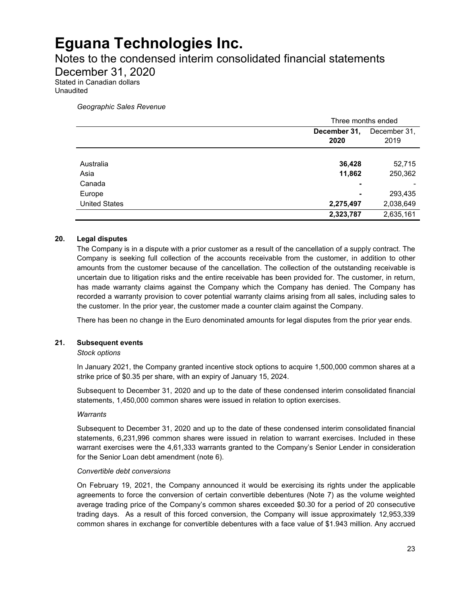### Notes to the condensed interim consolidated financial statements

December 31, 2020

Stated in Canadian dollars Unaudited

*Geographic Sales Revenue*

|                      | Three months ended |              |
|----------------------|--------------------|--------------|
|                      | December 31,       | December 31, |
|                      | 2020               | 2019         |
|                      |                    |              |
| Australia            | 36,428             | 52,715       |
| Asia                 | 11,862             | 250,362      |
| Canada               | ۰                  |              |
| Europe               | ٠                  | 293,435      |
| <b>United States</b> | 2,275,497          | 2,038,649    |
|                      | 2,323,787          | 2,635,161    |

### **20. Legal disputes**

The Company is in a dispute with a prior customer as a result of the cancellation of a supply contract. The Company is seeking full collection of the accounts receivable from the customer, in addition to other amounts from the customer because of the cancellation. The collection of the outstanding receivable is uncertain due to litigation risks and the entire receivable has been provided for. The customer, in return, has made warranty claims against the Company which the Company has denied. The Company has recorded a warranty provision to cover potential warranty claims arising from all sales, including sales to the customer. In the prior year, the customer made a counter claim against the Company.

There has been no change in the Euro denominated amounts for legal disputes from the prior year ends.

#### **21. Subsequent events**

#### *Stock options*

In January 2021, the Company granted incentive stock options to acquire 1,500,000 common shares at a strike price of \$0.35 per share, with an expiry of January 15, 2024.

Subsequent to December 31, 2020 and up to the date of these condensed interim consolidated financial statements, 1,450,000 common shares were issued in relation to option exercises.

#### *Warrants*

Subsequent to December 31, 2020 and up to the date of these condensed interim consolidated financial statements, 6,231,996 common shares were issued in relation to warrant exercises. Included in these warrant exercises were the 4,61,333 warrants granted to the Company's Senior Lender in consideration for the Senior Loan debt amendment (note 6).

#### *Convertible debt conversions*

On February 19, 2021, the Company announced it would be exercising its rights under the applicable agreements to force the conversion of certain convertible debentures (Note 7) as the volume weighted average trading price of the Company's common shares exceeded \$0.30 for a period of 20 consecutive trading days. As a result of this forced conversion, the Company will issue approximately 12,953,339 common shares in exchange for convertible debentures with a face value of \$1.943 million. Any accrued